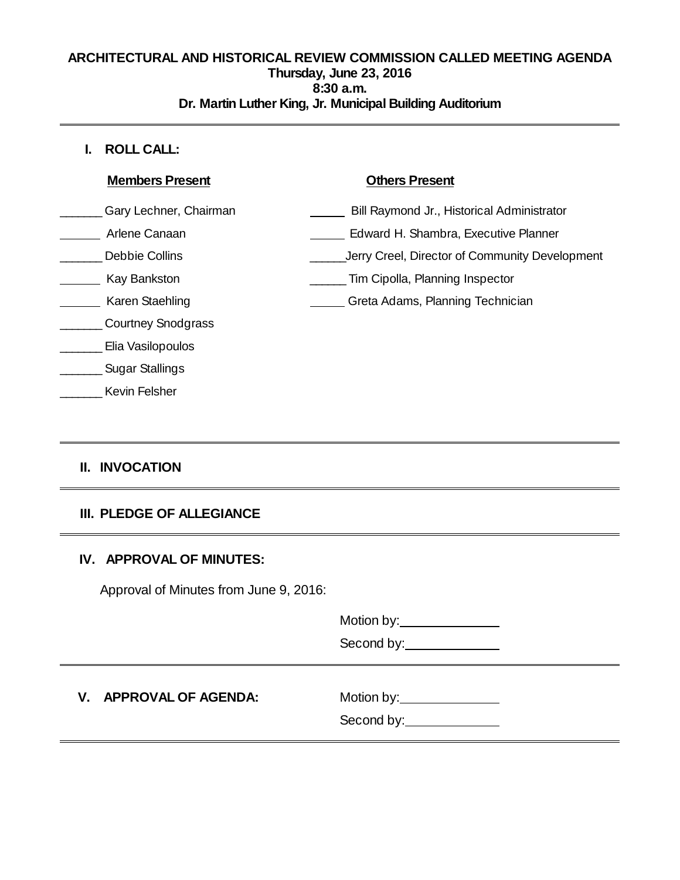### **ARCHITECTURAL AND HISTORICAL REVIEW COMMISSION CALLED MEETING AGENDA Thursday, June 23, 2016 8:30 a.m. Dr. Martin Luther King, Jr. Municipal Building Auditorium**

# **I. ROLL CALL:**

| <b>Members Present</b>    | <b>Others Present</b>                          |
|---------------------------|------------------------------------------------|
| Gary Lechner, Chairman    | Bill Raymond Jr., Historical Administrator     |
| Arlene Canaan             | Edward H. Shambra, Executive Planner           |
| Debbie Collins            | Jerry Creel, Director of Community Development |
| Kay Bankston              | Tim Cipolla, Planning Inspector                |
| Karen Staehling           | Greta Adams, Planning Technician               |
| <b>Courtney Snodgrass</b> |                                                |
| Elia Vasilopoulos         |                                                |
| <b>Sugar Stallings</b>    |                                                |
| Kevin Felsher             |                                                |
|                           |                                                |

# **II. INVOCATION**

# **III. PLEDGE OF ALLEGIANCE**

# **IV. APPROVAL OF MINUTES:**

Approval of Minutes from June 9, 2016:

Motion by: Notion by:

Second by:

# **V.** APPROVAL OF AGENDA: Motion by:

Second by: \_\_\_\_\_\_\_\_\_\_\_\_\_\_\_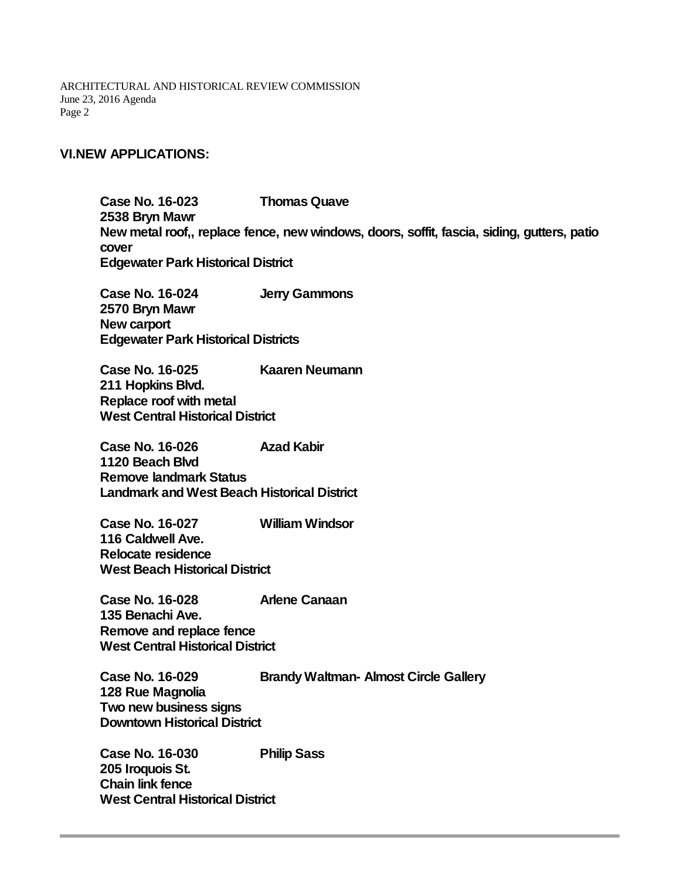ARCHITECTURAL AND HISTORICAL REVIEW COMMISSION June 23, 2016 Agenda Page 2

#### **VI.NEW APPLICATIONS:**

**Case No. 16-023 Thomas Quave 2538 Bryn Mawr New metal roof,, replace fence, new windows, doors, soffit, fascia, siding, gutters, patio cover Edgewater Park Historical District**

**Case No. 16-024 Jerry Gammons 2570 Bryn Mawr New carport Edgewater Park Historical Districts**

**Case No. 16-025 Kaaren Neumann 211 Hopkins Blvd. Replace roof with metal West Central Historical District**

**Case No. 16-026 Azad Kabir 1120 Beach Blvd Remove landmark Status Landmark and West Beach Historical District**

**Case No. 16-027 William Windsor 116 Caldwell Ave. Relocate residence West Beach Historical District**

**Case No. 16-028 Arlene Canaan 135 Benachi Ave. Remove and replace fence West Central Historical District**

**Case No. 16-029 Brandy Waltman- Almost Circle Gallery 128 Rue Magnolia Two new business signs Downtown Historical District**

**Case No. 16-030 Philip Sass 205 Iroquois St. Chain link fence West Central Historical District**